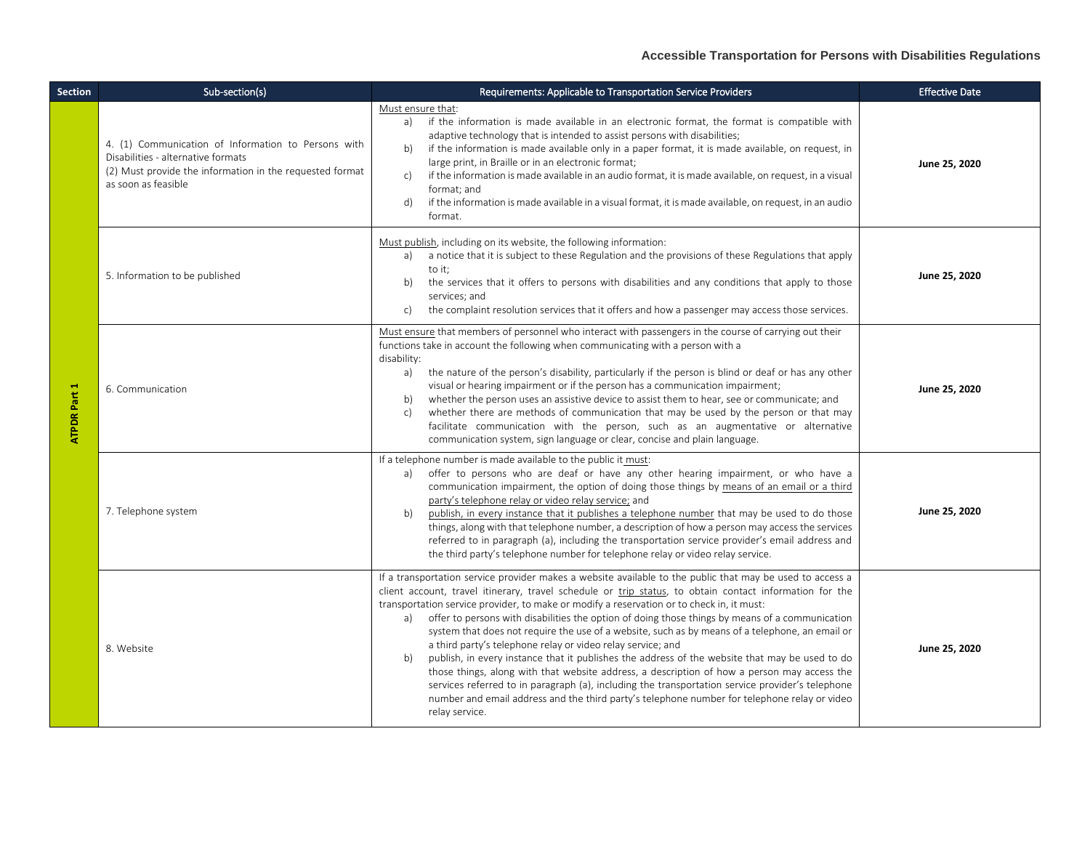| <b>Section</b> | Sub-section(s)                                                                                                                                                               | Requirements: Applicable to Transportation Service Providers                                                                                                                                                                                                                                                                                                                                                                                                                                                                                                                                                                                                                                                                                                                                                                                                                                                                                                                                                              | <b>Effective Date</b> |
|----------------|------------------------------------------------------------------------------------------------------------------------------------------------------------------------------|---------------------------------------------------------------------------------------------------------------------------------------------------------------------------------------------------------------------------------------------------------------------------------------------------------------------------------------------------------------------------------------------------------------------------------------------------------------------------------------------------------------------------------------------------------------------------------------------------------------------------------------------------------------------------------------------------------------------------------------------------------------------------------------------------------------------------------------------------------------------------------------------------------------------------------------------------------------------------------------------------------------------------|-----------------------|
| ATPDR Part 1   | 4. (1) Communication of Information to Persons with<br>Disabilities - alternative formats<br>(2) Must provide the information in the requested format<br>as soon as feasible | Must ensure that:<br>if the information is made available in an electronic format, the format is compatible with<br>a)<br>adaptive technology that is intended to assist persons with disabilities;<br>if the information is made available only in a paper format, it is made available, on request, in<br>b)<br>large print, in Braille or in an electronic format;<br>if the information is made available in an audio format, it is made available, on request, in a visual<br>c)<br>format: and<br>if the information is made available in a visual format, it is made available, on request, in an audio<br>d)<br>format.                                                                                                                                                                                                                                                                                                                                                                                           | June 25, 2020         |
|                | 5. Information to be published                                                                                                                                               | Must publish, including on its website, the following information:<br>a notice that it is subject to these Regulation and the provisions of these Regulations that apply<br>a)<br>to it;<br>the services that it offers to persons with disabilities and any conditions that apply to those<br>b)<br>services: and<br>the complaint resolution services that it offers and how a passenger may access those services.<br>c)                                                                                                                                                                                                                                                                                                                                                                                                                                                                                                                                                                                               | June 25, 2020         |
|                | 6. Communication                                                                                                                                                             | Must ensure that members of personnel who interact with passengers in the course of carrying out their<br>functions take in account the following when communicating with a person with a<br>disability:<br>the nature of the person's disability, particularly if the person is blind or deaf or has any other<br>a)<br>visual or hearing impairment or if the person has a communication impairment;<br>whether the person uses an assistive device to assist them to hear, see or communicate; and<br>b)<br>whether there are methods of communication that may be used by the person or that may<br>$\mathsf{C}$<br>facilitate communication with the person, such as an augmentative or alternative<br>communication system, sign language or clear, concise and plain language.                                                                                                                                                                                                                                     | June 25, 2020         |
|                | 7. Telephone system                                                                                                                                                          | If a telephone number is made available to the public it must:<br>offer to persons who are deaf or have any other hearing impairment, or who have a<br>a)<br>communication impairment, the option of doing those things by means of an email or a third<br>party's telephone relay or video relay service; and<br>publish, in every instance that it publishes a telephone number that may be used to do those<br>b)<br>things, along with that telephone number, a description of how a person may access the services<br>referred to in paragraph (a), including the transportation service provider's email address and<br>the third party's telephone number for telephone relay or video relay service.                                                                                                                                                                                                                                                                                                              | June 25, 2020         |
|                | 8. Website                                                                                                                                                                   | If a transportation service provider makes a website available to the public that may be used to access a<br>client account, travel itinerary, travel schedule or trip status, to obtain contact information for the<br>transportation service provider, to make or modify a reservation or to check in, it must:<br>offer to persons with disabilities the option of doing those things by means of a communication<br>a)<br>system that does not require the use of a website, such as by means of a telephone, an email or<br>a third party's telephone relay or video relay service; and<br>publish, in every instance that it publishes the address of the website that may be used to do<br>b)<br>those things, along with that website address, a description of how a person may access the<br>services referred to in paragraph (a), including the transportation service provider's telephone<br>number and email address and the third party's telephone number for telephone relay or video<br>relay service. | June 25, 2020         |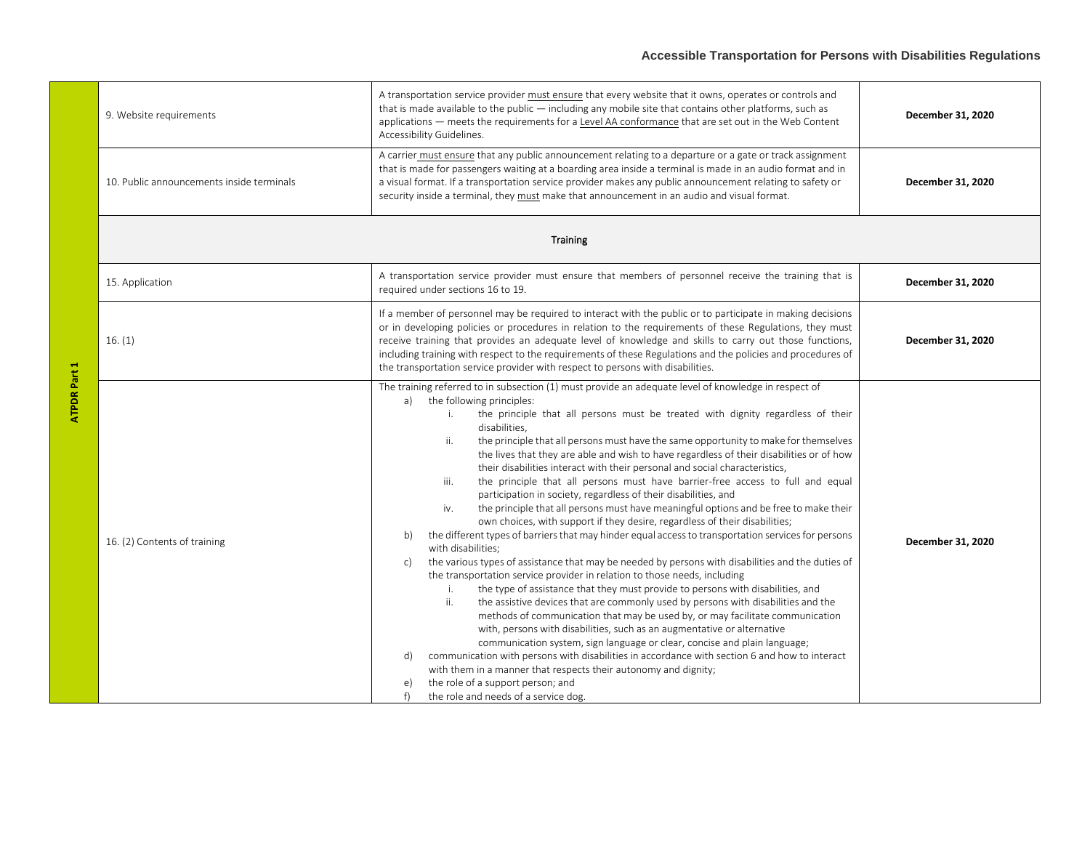## **Accessible Transportation for Persons with Disabilities Regulations**

|  | 9. Website requirements                   | A transportation service provider must ensure that every website that it owns, operates or controls and<br>that is made available to the public - including any mobile site that contains other platforms, such as<br>applications - meets the requirements for a Level AA conformance that are set out in the Web Content<br>Accessibility Guidelines.                                                                                                                                                                                                                                                                                                                                                                                                                                                                                                                                                                                                                                                                                                                                                                                                                                                                                                                                                                                                                                                                                                                                                                                                                                                                                                                                                                                                                                                                                                                                             | December 31, 2020 |
|--|-------------------------------------------|-----------------------------------------------------------------------------------------------------------------------------------------------------------------------------------------------------------------------------------------------------------------------------------------------------------------------------------------------------------------------------------------------------------------------------------------------------------------------------------------------------------------------------------------------------------------------------------------------------------------------------------------------------------------------------------------------------------------------------------------------------------------------------------------------------------------------------------------------------------------------------------------------------------------------------------------------------------------------------------------------------------------------------------------------------------------------------------------------------------------------------------------------------------------------------------------------------------------------------------------------------------------------------------------------------------------------------------------------------------------------------------------------------------------------------------------------------------------------------------------------------------------------------------------------------------------------------------------------------------------------------------------------------------------------------------------------------------------------------------------------------------------------------------------------------------------------------------------------------------------------------------------------------|-------------------|
|  | 10. Public announcements inside terminals | A carrier must ensure that any public announcement relating to a departure or a gate or track assignment<br>that is made for passengers waiting at a boarding area inside a terminal is made in an audio format and in<br>a visual format. If a transportation service provider makes any public announcement relating to safety or<br>security inside a terminal, they must make that announcement in an audio and visual format.                                                                                                                                                                                                                                                                                                                                                                                                                                                                                                                                                                                                                                                                                                                                                                                                                                                                                                                                                                                                                                                                                                                                                                                                                                                                                                                                                                                                                                                                  | December 31, 2020 |
|  | <b>Training</b>                           |                                                                                                                                                                                                                                                                                                                                                                                                                                                                                                                                                                                                                                                                                                                                                                                                                                                                                                                                                                                                                                                                                                                                                                                                                                                                                                                                                                                                                                                                                                                                                                                                                                                                                                                                                                                                                                                                                                     |                   |
|  | 15. Application                           | A transportation service provider must ensure that members of personnel receive the training that is<br>required under sections 16 to 19.                                                                                                                                                                                                                                                                                                                                                                                                                                                                                                                                                                                                                                                                                                                                                                                                                                                                                                                                                                                                                                                                                                                                                                                                                                                                                                                                                                                                                                                                                                                                                                                                                                                                                                                                                           | December 31, 2020 |
|  | 16. (1)                                   | If a member of personnel may be required to interact with the public or to participate in making decisions<br>or in developing policies or procedures in relation to the requirements of these Regulations, they must<br>receive training that provides an adequate level of knowledge and skills to carry out those functions,<br>including training with respect to the requirements of these Regulations and the policies and procedures of<br>the transportation service provider with respect to persons with disabilities.                                                                                                                                                                                                                                                                                                                                                                                                                                                                                                                                                                                                                                                                                                                                                                                                                                                                                                                                                                                                                                                                                                                                                                                                                                                                                                                                                                    | December 31, 2020 |
|  | 16. (2) Contents of training              | The training referred to in subsection (1) must provide an adequate level of knowledge in respect of<br>the following principles:<br>a)<br>the principle that all persons must be treated with dignity regardless of their<br>i.<br>disabilities.<br>the principle that all persons must have the same opportunity to make for themselves<br>ii.<br>the lives that they are able and wish to have regardless of their disabilities or of how<br>their disabilities interact with their personal and social characteristics,<br>the principle that all persons must have barrier-free access to full and equal<br>iii.<br>participation in society, regardless of their disabilities, and<br>the principle that all persons must have meaningful options and be free to make their<br>iv.<br>own choices, with support if they desire, regardless of their disabilities;<br>the different types of barriers that may hinder equal access to transportation services for persons<br>b)<br>with disabilities;<br>the various types of assistance that may be needed by persons with disabilities and the duties of<br>c)<br>the transportation service provider in relation to those needs, including<br>the type of assistance that they must provide to persons with disabilities, and<br>i.<br>ii.<br>the assistive devices that are commonly used by persons with disabilities and the<br>methods of communication that may be used by, or may facilitate communication<br>with, persons with disabilities, such as an augmentative or alternative<br>communication system, sign language or clear, concise and plain language;<br>communication with persons with disabilities in accordance with section 6 and how to interact<br>d)<br>with them in a manner that respects their autonomy and dignity;<br>the role of a support person; and<br>e)<br>the role and needs of a service dog.<br>f) | December 31, 2020 |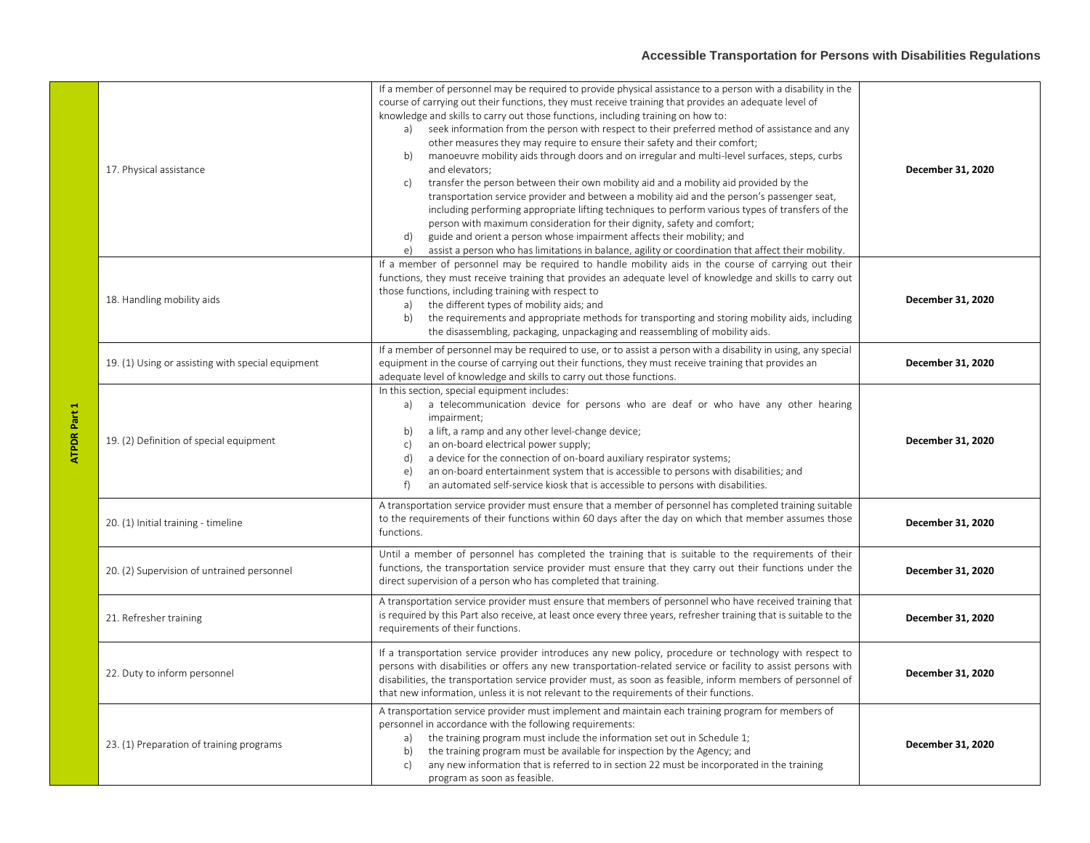## **Accessible Transportation for Persons with Disabilities Regulations**

| <b>ATPDR Part 1</b> | 17. Physical assistance                           | If a member of personnel may be required to provide physical assistance to a person with a disability in the<br>course of carrying out their functions, they must receive training that provides an adequate level of<br>knowledge and skills to carry out those functions, including training on how to:<br>a) seek information from the person with respect to their preferred method of assistance and any<br>other measures they may require to ensure their safety and their comfort;<br>manoeuvre mobility aids through doors and on irregular and multi-level surfaces, steps, curbs<br>b)<br>and elevators;<br>transfer the person between their own mobility aid and a mobility aid provided by the<br>c)<br>transportation service provider and between a mobility aid and the person's passenger seat,<br>including performing appropriate lifting techniques to perform various types of transfers of the<br>person with maximum consideration for their dignity, safety and comfort;<br>guide and orient a person whose impairment affects their mobility; and<br>d)<br>assist a person who has limitations in balance, agility or coordination that affect their mobility.<br>e) | December 31, 2020 |
|---------------------|---------------------------------------------------|------------------------------------------------------------------------------------------------------------------------------------------------------------------------------------------------------------------------------------------------------------------------------------------------------------------------------------------------------------------------------------------------------------------------------------------------------------------------------------------------------------------------------------------------------------------------------------------------------------------------------------------------------------------------------------------------------------------------------------------------------------------------------------------------------------------------------------------------------------------------------------------------------------------------------------------------------------------------------------------------------------------------------------------------------------------------------------------------------------------------------------------------------------------------------------------------|-------------------|
|                     | 18. Handling mobility aids                        | If a member of personnel may be required to handle mobility aids in the course of carrying out their<br>functions, they must receive training that provides an adequate level of knowledge and skills to carry out<br>those functions, including training with respect to<br>the different types of mobility aids; and<br>a)<br>the requirements and appropriate methods for transporting and storing mobility aids, including<br>b)<br>the disassembling, packaging, unpackaging and reassembling of mobility aids.                                                                                                                                                                                                                                                                                                                                                                                                                                                                                                                                                                                                                                                                           | December 31, 2020 |
|                     | 19. (1) Using or assisting with special equipment | If a member of personnel may be required to use, or to assist a person with a disability in using, any special<br>equipment in the course of carrying out their functions, they must receive training that provides an<br>adequate level of knowledge and skills to carry out those functions.                                                                                                                                                                                                                                                                                                                                                                                                                                                                                                                                                                                                                                                                                                                                                                                                                                                                                                 | December 31, 2020 |
|                     | 19. (2) Definition of special equipment           | In this section, special equipment includes:<br>a) a telecommunication device for persons who are deaf or who have any other hearing<br>impairment;<br>a lift, a ramp and any other level-change device;<br>b)<br>c)<br>an on-board electrical power supply;<br>a device for the connection of on-board auxiliary respirator systems;<br>d)<br>an on-board entertainment system that is accessible to persons with disabilities; and<br>e)<br>an automated self-service kiosk that is accessible to persons with disabilities.<br>f)                                                                                                                                                                                                                                                                                                                                                                                                                                                                                                                                                                                                                                                           | December 31, 2020 |
|                     | 20. (1) Initial training - timeline               | A transportation service provider must ensure that a member of personnel has completed training suitable<br>to the requirements of their functions within 60 days after the day on which that member assumes those<br>functions.                                                                                                                                                                                                                                                                                                                                                                                                                                                                                                                                                                                                                                                                                                                                                                                                                                                                                                                                                               | December 31, 2020 |
|                     | 20. (2) Supervision of untrained personnel        | Until a member of personnel has completed the training that is suitable to the requirements of their<br>functions, the transportation service provider must ensure that they carry out their functions under the<br>direct supervision of a person who has completed that training.                                                                                                                                                                                                                                                                                                                                                                                                                                                                                                                                                                                                                                                                                                                                                                                                                                                                                                            | December 31, 2020 |
|                     | 21. Refresher training                            | A transportation service provider must ensure that members of personnel who have received training that<br>is required by this Part also receive, at least once every three years, refresher training that is suitable to the<br>requirements of their functions.                                                                                                                                                                                                                                                                                                                                                                                                                                                                                                                                                                                                                                                                                                                                                                                                                                                                                                                              | December 31, 2020 |
|                     | 22. Duty to inform personnel                      | If a transportation service provider introduces any new policy, procedure or technology with respect to<br>persons with disabilities or offers any new transportation-related service or facility to assist persons with<br>disabilities, the transportation service provider must, as soon as feasible, inform members of personnel of<br>that new information, unless it is not relevant to the requirements of their functions.                                                                                                                                                                                                                                                                                                                                                                                                                                                                                                                                                                                                                                                                                                                                                             | December 31, 2020 |
|                     | 23. (1) Preparation of training programs          | A transportation service provider must implement and maintain each training program for members of<br>personnel in accordance with the following requirements:<br>the training program must include the information set out in Schedule 1;<br>a)<br>the training program must be available for inspection by the Agency; and<br>b)<br>any new information that is referred to in section 22 must be incorporated in the training<br>c)<br>program as soon as feasible.                                                                                                                                                                                                                                                                                                                                                                                                                                                                                                                                                                                                                                                                                                                         | December 31, 2020 |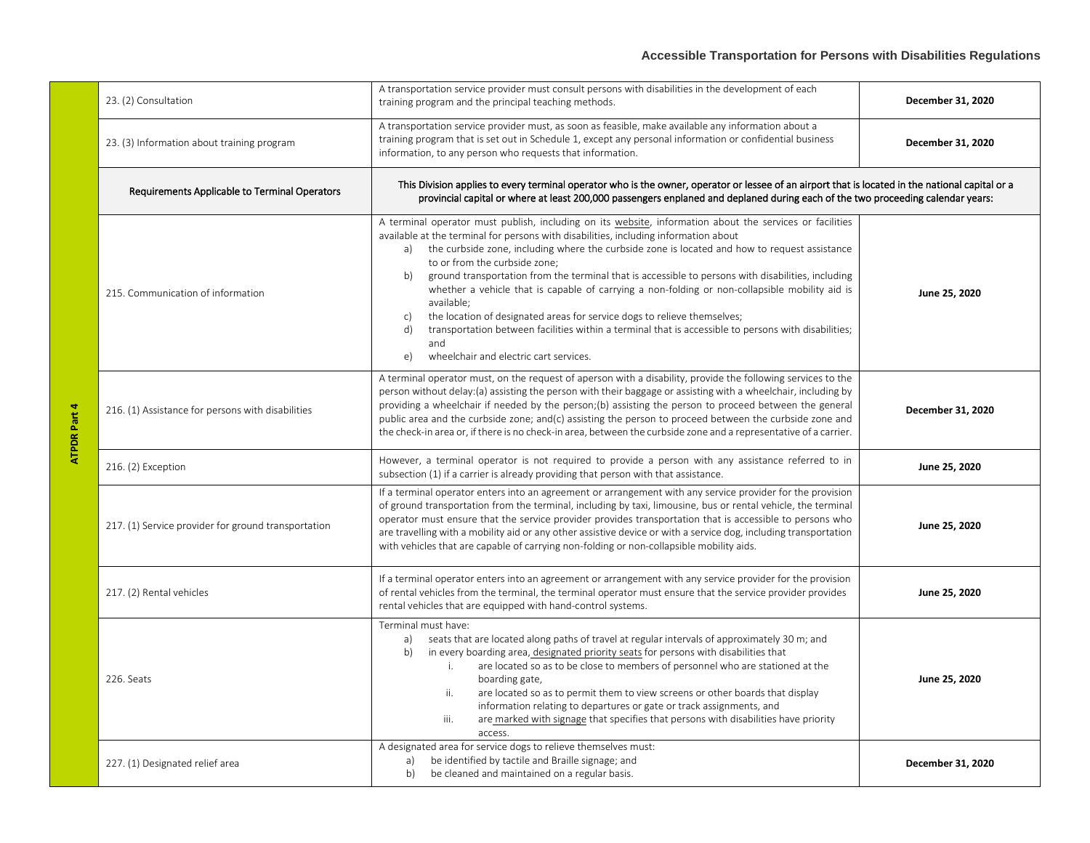| 23. (2) Consultation                                | A transportation service provider must consult persons with disabilities in the development of each<br>training program and the principal teaching methods.                                                                                                                                                                                                                                                                                                                                                                                                                                                                                                                                                                                                                                                                 | December 31, 2020 |
|-----------------------------------------------------|-----------------------------------------------------------------------------------------------------------------------------------------------------------------------------------------------------------------------------------------------------------------------------------------------------------------------------------------------------------------------------------------------------------------------------------------------------------------------------------------------------------------------------------------------------------------------------------------------------------------------------------------------------------------------------------------------------------------------------------------------------------------------------------------------------------------------------|-------------------|
| 23. (3) Information about training program          | A transportation service provider must, as soon as feasible, make available any information about a<br>training program that is set out in Schedule 1, except any personal information or confidential business<br>information, to any person who requests that information.                                                                                                                                                                                                                                                                                                                                                                                                                                                                                                                                                | December 31, 2020 |
| Requirements Applicable to Terminal Operators       | This Division applies to every terminal operator who is the owner, operator or lessee of an airport that is located in the national capital or a<br>provincial capital or where at least 200,000 passengers enplaned and deplaned during each of the two proceeding calendar years:                                                                                                                                                                                                                                                                                                                                                                                                                                                                                                                                         |                   |
| 215. Communication of information                   | A terminal operator must publish, including on its website, information about the services or facilities<br>available at the terminal for persons with disabilities, including information about<br>the curbside zone, including where the curbside zone is located and how to request assistance<br>a)<br>to or from the curbside zone;<br>ground transportation from the terminal that is accessible to persons with disabilities, including<br>b)<br>whether a vehicle that is capable of carrying a non-folding or non-collapsible mobility aid is<br>available;<br>the location of designated areas for service dogs to relieve themselves;<br>c)<br>d)<br>transportation between facilities within a terminal that is accessible to persons with disabilities;<br>and<br>wheelchair and electric cart services.<br>e) | June 25, 2020     |
| 216. (1) Assistance for persons with disabilities   | A terminal operator must, on the request of aperson with a disability, provide the following services to the<br>person without delay: (a) assisting the person with their baggage or assisting with a wheelchair, including by<br>providing a wheelchair if needed by the person; (b) assisting the person to proceed between the general<br>public area and the curbside zone; and(c) assisting the person to proceed between the curbside zone and<br>the check-in area or, if there is no check-in area, between the curbside zone and a representative of a carrier.                                                                                                                                                                                                                                                    | December 31, 2020 |
| 216. (2) Exception                                  | However, a terminal operator is not required to provide a person with any assistance referred to in<br>subsection (1) if a carrier is already providing that person with that assistance.                                                                                                                                                                                                                                                                                                                                                                                                                                                                                                                                                                                                                                   | June 25, 2020     |
| 217. (1) Service provider for ground transportation | If a terminal operator enters into an agreement or arrangement with any service provider for the provision<br>of ground transportation from the terminal, including by taxi, limousine, bus or rental vehicle, the terminal<br>operator must ensure that the service provider provides transportation that is accessible to persons who<br>are travelling with a mobility aid or any other assistive device or with a service dog, including transportation<br>with vehicles that are capable of carrying non-folding or non-collapsible mobility aids.                                                                                                                                                                                                                                                                     | June 25, 2020     |
| 217. (2) Rental vehicles                            | If a terminal operator enters into an agreement or arrangement with any service provider for the provision<br>of rental vehicles from the terminal, the terminal operator must ensure that the service provider provides<br>rental vehicles that are equipped with hand-control systems.                                                                                                                                                                                                                                                                                                                                                                                                                                                                                                                                    | June 25, 2020     |
| 226. Seats                                          | Terminal must have:<br>seats that are located along paths of travel at regular intervals of approximately 30 m; and<br>a)<br>in every boarding area, designated priority seats for persons with disabilities that<br>b)<br>are located so as to be close to members of personnel who are stationed at the<br>i.<br>boarding gate,<br>are located so as to permit them to view screens or other boards that display<br>ii.<br>information relating to departures or gate or track assignments, and<br>are marked with signage that specifies that persons with disabilities have priority<br>iii.<br>access.                                                                                                                                                                                                                 | June 25, 2020     |
| 227. (1) Designated relief area                     | A designated area for service dogs to relieve themselves must:<br>be identified by tactile and Braille signage; and<br>a)<br>b)<br>be cleaned and maintained on a regular basis.                                                                                                                                                                                                                                                                                                                                                                                                                                                                                                                                                                                                                                            | December 31, 2020 |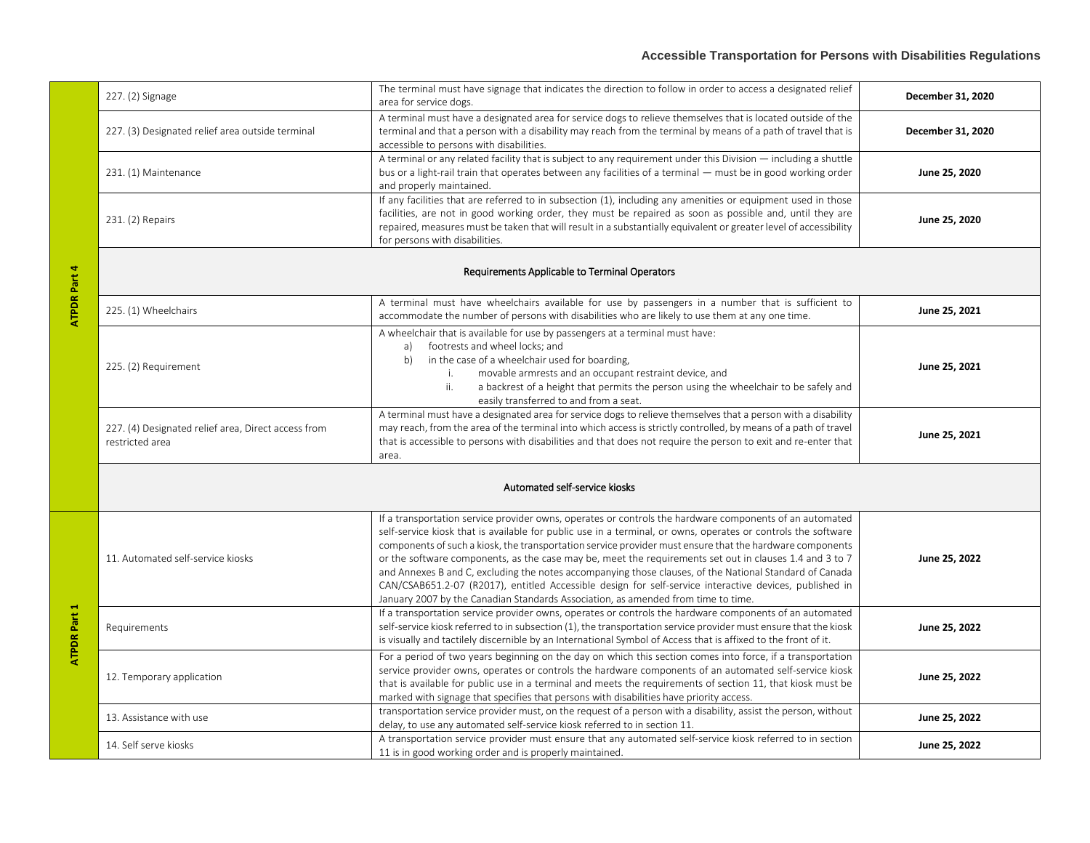| ATPDR Part 4 | 227. (2) Signage                                                       | The terminal must have signage that indicates the direction to follow in order to access a designated relief<br>area for service dogs.                                                                                                                                                                                                                                                                                                                                                                                                                                                                                                                                                                                                                     | December 31, 2020 |
|--------------|------------------------------------------------------------------------|------------------------------------------------------------------------------------------------------------------------------------------------------------------------------------------------------------------------------------------------------------------------------------------------------------------------------------------------------------------------------------------------------------------------------------------------------------------------------------------------------------------------------------------------------------------------------------------------------------------------------------------------------------------------------------------------------------------------------------------------------------|-------------------|
|              | 227. (3) Designated relief area outside terminal                       | A terminal must have a designated area for service dogs to relieve themselves that is located outside of the<br>terminal and that a person with a disability may reach from the terminal by means of a path of travel that is<br>accessible to persons with disabilities.                                                                                                                                                                                                                                                                                                                                                                                                                                                                                  | December 31, 2020 |
|              | 231. (1) Maintenance                                                   | A terminal or any related facility that is subject to any requirement under this Division - including a shuttle<br>bus or a light-rail train that operates between any facilities of a terminal — must be in good working order<br>and properly maintained.                                                                                                                                                                                                                                                                                                                                                                                                                                                                                                | June 25, 2020     |
|              | 231. (2) Repairs                                                       | If any facilities that are referred to in subsection (1), including any amenities or equipment used in those<br>facilities, are not in good working order, they must be repaired as soon as possible and, until they are<br>repaired, measures must be taken that will result in a substantially equivalent or greater level of accessibility<br>for persons with disabilities.                                                                                                                                                                                                                                                                                                                                                                            | June 25, 2020     |
|              | Requirements Applicable to Terminal Operators                          |                                                                                                                                                                                                                                                                                                                                                                                                                                                                                                                                                                                                                                                                                                                                                            |                   |
|              | 225. (1) Wheelchairs                                                   | A terminal must have wheelchairs available for use by passengers in a number that is sufficient to<br>accommodate the number of persons with disabilities who are likely to use them at any one time.                                                                                                                                                                                                                                                                                                                                                                                                                                                                                                                                                      | June 25, 2021     |
|              | 225. (2) Requirement                                                   | A wheelchair that is available for use by passengers at a terminal must have:<br>footrests and wheel locks; and<br>a)<br>in the case of a wheelchair used for boarding,<br>b)<br>movable armrests and an occupant restraint device, and<br>i.<br>a backrest of a height that permits the person using the wheelchair to be safely and<br>ii.<br>easily transferred to and from a seat.                                                                                                                                                                                                                                                                                                                                                                     | June 25, 2021     |
|              | 227. (4) Designated relief area, Direct access from<br>restricted area | A terminal must have a designated area for service dogs to relieve themselves that a person with a disability<br>may reach, from the area of the terminal into which access is strictly controlled, by means of a path of travel<br>that is accessible to persons with disabilities and that does not require the person to exit and re-enter that<br>area.                                                                                                                                                                                                                                                                                                                                                                                                | June 25, 2021     |
|              | Automated self-service kiosks                                          |                                                                                                                                                                                                                                                                                                                                                                                                                                                                                                                                                                                                                                                                                                                                                            |                   |
| ATPDR Part 1 | 11. Automated self-service kiosks                                      | If a transportation service provider owns, operates or controls the hardware components of an automated<br>self-service kiosk that is available for public use in a terminal, or owns, operates or controls the software<br>components of such a kiosk, the transportation service provider must ensure that the hardware components<br>or the software components, as the case may be, meet the requirements set out in clauses 1.4 and 3 to 7<br>and Annexes B and C, excluding the notes accompanying those clauses, of the National Standard of Canada<br>CAN/CSAB651.2-07 (R2017), entitled Accessible design for self-service interactive devices, published in<br>January 2007 by the Canadian Standards Association, as amended from time to time. | June 25, 2022     |
|              | Requirements                                                           | If a transportation service provider owns, operates or controls the hardware components of an automated<br>self-service kiosk referred to in subsection (1), the transportation service provider must ensure that the kiosk<br>is visually and tactilely discernible by an International Symbol of Access that is affixed to the front of it.                                                                                                                                                                                                                                                                                                                                                                                                              | June 25, 2022     |
|              | 12. Temporary application                                              | For a period of two years beginning on the day on which this section comes into force, if a transportation<br>service provider owns, operates or controls the hardware components of an automated self-service kiosk<br>that is available for public use in a terminal and meets the requirements of section 11, that kiosk must be<br>marked with signage that specifies that persons with disabilities have priority access.                                                                                                                                                                                                                                                                                                                             | June 25, 2022     |
|              | 13. Assistance with use                                                | transportation service provider must, on the request of a person with a disability, assist the person, without<br>delay, to use any automated self-service kiosk referred to in section 11.                                                                                                                                                                                                                                                                                                                                                                                                                                                                                                                                                                | June 25, 2022     |
|              | 14. Self serve kiosks                                                  | A transportation service provider must ensure that any automated self-service kiosk referred to in section<br>11 is in good working order and is properly maintained.                                                                                                                                                                                                                                                                                                                                                                                                                                                                                                                                                                                      | June 25, 2022     |